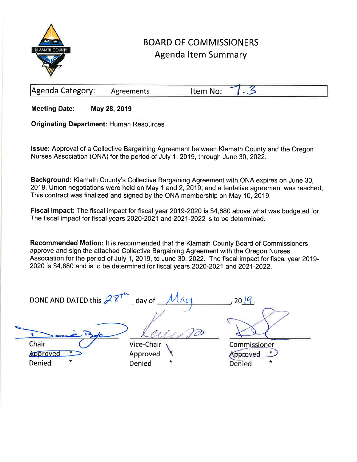

## **BOARD OF COMMISSIONERS Agenda Item Summary**

|  | Agenda Category: | <b>Agreements</b> | Item No<br>י נכו. |  |  |
|--|------------------|-------------------|-------------------|--|--|
|--|------------------|-------------------|-------------------|--|--|

**Meeting Date:** May 28, 2019

**Originating Department: Human Resources** 

Issue: Approval of a Collective Bargaining Agreement between Klamath County and the Oregon Nurses Association (ONA) for the period of July 1, 2019, through June 30, 2022.

Background: Klamath County's Collective Bargaining Agreement with ONA expires on June 30, 2019. Union negotiations were held on May 1 and 2, 2019, and a tentative agreement was reached. This contract was finalized and signed by the ONA membership on May 10, 2019.

Fiscal Impact: The fiscal impact for fiscal year 2019-2020 is \$4,680 above what was budgeted for. The fiscal impact for fiscal years 2020-2021 and 2021-2022 is to be determined.

Recommended Motion: It is recommended that the Klamath County Board of Commissioners approve and sign the attached Collective Bargaining Agreement with the Oregon Nurses Association for the period of July 1, 2019, to June 30, 2022. The fiscal impact for fiscal year 2019-2020 is \$4,680 and is to be determined for fiscal years 2020-2021 and 2021-2022.

| DONE AND DATED this $28^{44}$          | $_{\circ}$ day of<br>$\mu_{U}$              | 2019.                                              |
|----------------------------------------|---------------------------------------------|----------------------------------------------------|
|                                        |                                             |                                                    |
| Chair<br>Approved<br>$\star$<br>Denied | Vice-Chair<br>Approved<br>$\star$<br>Denied | Commissioner<br>proved<br><b>Denied</b><br>$\star$ |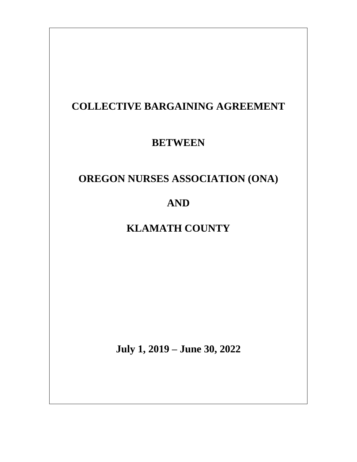# **COLLECTIVE BARGAINING AGREEMENT**

## **BETWEEN**

# **OREGON NURSES ASSOCIATION (ONA)**

**AND**

# **KLAMATH COUNTY**

**July 1, 2019 – June 30, 2022**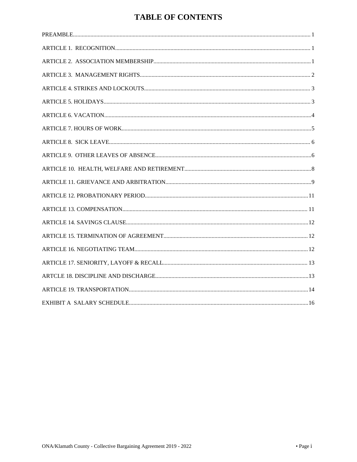## **TABLE OF CONTENTS**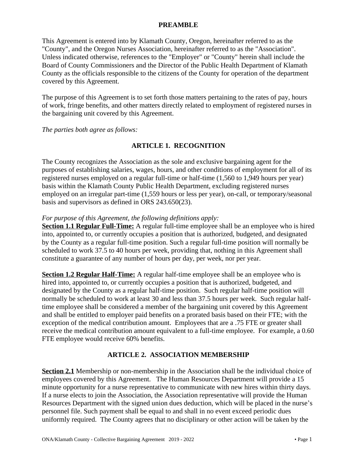#### <span id="page-3-0"></span>**PREAMBLE**

This Agreement is entered into by Klamath County, Oregon, hereinafter referred to as the "County", and the Oregon Nurses Association, hereinafter referred to as the "Association". Unless indicated otherwise, references to the "Employer" or "County" herein shall include the Board of County Commissioners and the Director of the Public Health Department of Klamath County as the officials responsible to the citizens of the County for operation of the department covered by this Agreement.

The purpose of this Agreement is to set forth those matters pertaining to the rates of pay, hours of work, fringe benefits, and other matters directly related to employment of registered nurses in the bargaining unit covered by this Agreement.

*The parties both agree as follows:*

## <span id="page-3-1"></span>**ARTICLE 1. RECOGNITION**

The County recognizes the Association as the sole and exclusive bargaining agent for the purposes of establishing salaries, wages, hours, and other conditions of employment for all of its registered nurses employed on a regular full-time or half-time (1,560 to 1,949 hours per year) basis within the Klamath County Public Health Department, excluding registered nurses employed on an irregular part-time (1,559 hours or less per year), on-call, or temporary/seasonal basis and supervisors as defined in ORS 243.650(23).

#### *For purpose of this Agreement, the following definitions apply:*

**Section 1.1 Regular Full-Time:** A regular full-time employee shall be an employee who is hired into, appointed to, or currently occupies a position that is authorized, budgeted, and designated by the County as a regular full-time position. Such a regular full-time position will normally be scheduled to work 37.5 to 40 hours per week, providing that, nothing in this Agreement shall constitute a guarantee of any number of hours per day, per week, nor per year.

**Section 1.2 Regular Half-Time:** A regular half-time employee shall be an employee who is hired into, appointed to, or currently occupies a position that is authorized, budgeted, and designated by the County as a regular half-time position. Such regular half-time position will normally be scheduled to work at least 30 and less than 37.5 hours per week. Such regular halftime employee shall be considered a member of the bargaining unit covered by this Agreement and shall be entitled to employer paid benefits on a prorated basis based on their FTE; with the exception of the medical contribution amount. Employees that are a .75 FTE or greater shall receive the medical contribution amount equivalent to a full-time employee. For example, a 0.60 FTE employee would receive 60% benefits.

## **ARTICLE 2. ASSOCIATION MEMBERSHIP**

**Section 2.1** Membership or non-membership in the Association shall be the individual choice of employees covered by this Agreement. The Human Resources Department will provide a 15 minute opportunity for a nurse representative to communicate with new hires within thirty days. If a nurse elects to join the Association, the Association representative will provide the Human Resources Department with the signed union dues deduction, which will be placed in the nurse's personnel file. Such payment shall be equal to and shall in no event exceed periodic dues uniformly required. The County agrees that no disciplinary or other action will be taken by the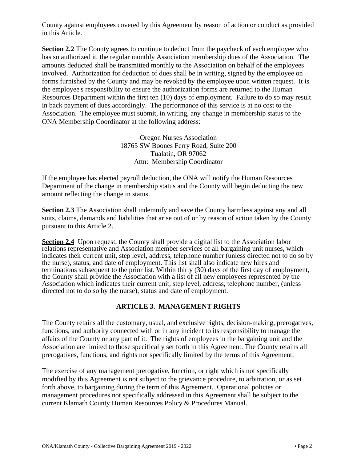County against employees covered by this Agreement by reason of action or conduct as provided in this Article.

**Section 2.2** The County agrees to continue to deduct from the paycheck of each employee who has so authorized it, the regular monthly Association membership dues of the Association. The amounts deducted shall be transmitted monthly to the Association on behalf of the employees involved. Authorization for deduction of dues shall be in writing, signed by the employee on forms furnished by the County and may be revoked by the employee upon written request. It is the employee's responsibility to ensure the authorization forms are returned to the Human Resources Department within the first ten (10) days of employment. Failure to do so may result in back payment of dues accordingly. The performance of this service is at no cost to the Association. The employee must submit, in writing, any change in membership status to the ONA Membership Coordinator at the following address:

> Oregon Nurses Association 18765 SW Boones Ferry Road, Suite 200 Tualatin, OR 97062 Attn: Membership Coordinator

If the employee has elected payroll deduction, the ONA will notify the Human Resources Department of the change in membership status and the County will begin deducting the new amount reflecting the change in status.

**Section 2.3** The Association shall indemnify and save the County harmless against any and all suits, claims, demands and liabilities that arise out of or by reason of action taken by the County pursuant to this Article 2.

**Section 2.4** Upon request, the County shall provide a digital list to the Association labor relations representative and Association member services of all bargaining unit nurses, which indicates their current unit, step level, address, telephone number (unless directed not to do so by the nurse), status, and date of employment. This list shall also indicate new hires and terminations subsequent to the prior list. Within thirty (30) days of the first day of employment, the County shall provide the Association with a list of all new employees represented by the Association which indicates their current unit, step level, address, telephone number, (unless directed not to do so by the nurse), status and date of employment.

## <span id="page-4-0"></span>**ARTICLE 3. MANAGEMENT RIGHTS**

The County retains all the customary, usual, and exclusive rights, decision-making, prerogatives, functions, and authority connected with or in any incident to its responsibility to manage the affairs of the County or any part of it. The rights of employees in the bargaining unit and the Association are limited to those specifically set forth in this Agreement. The County retains all prerogatives, functions, and rights not specifically limited by the terms of this Agreement.

The exercise of any management prerogative, function, or right which is not specifically modified by this Agreement is not subject to the grievance procedure, to arbitration, or as set forth above, to bargaining during the term of this Agreement. Operational policies or management procedures not specifically addressed in this Agreement shall be subject to the current Klamath County Human Resources Policy & Procedures Manual.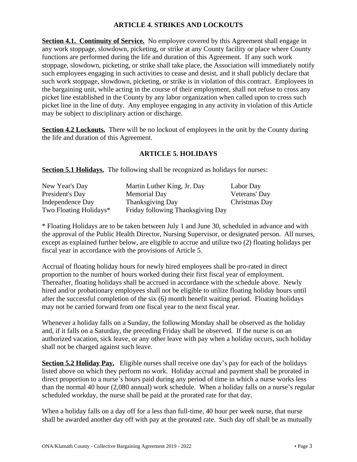## <span id="page-5-0"></span>**ARTICLE 4. STRIKES AND LOCKOUTS**

**Section 4.1. Continuity of Service.** No employee covered by this Agreement shall engage in any work stoppage, slowdown, picketing, or strike at any County facility or place where County functions are performed during the life and duration of this Agreement. If any such work stoppage, slowdown, picketing, or strike shall take place, the Association will immediately notify such employees engaging in such activities to cease and desist, and it shall publicly declare that such work stoppage, slowdown, picketing, or strike is in violation of this contract. Employees in the bargaining unit, while acting in the course of their employment, shall not refuse to cross any picket line established in the County by any labor organization when called upon to cross such picket line in the line of duty. Any employee engaging in any activity in violation of this Article may be subject to disciplinary action or discharge.

**Section 4.2 Lockouts.** There will be no lockout of employees in the unit by the County during the life and duration of this Agreement.

## <span id="page-5-1"></span>**ARTICLE 5. HOLIDAYS**

**Section 5.1 Holidays.** The following shall be recognized as holidays for nurses:

| New Year's Day         | Martin Luther King, Jr. Day       | Labor Day     |
|------------------------|-----------------------------------|---------------|
| President's Day        | <b>Memorial Day</b>               | Veterans' Day |
| Independence Day       | <b>Thanksgiving Day</b>           | Christmas Day |
| Two Floating Holidays* | Friday following Thanksgiving Day |               |

\* Floating Holidays are to be taken between July 1 and June 30, scheduled in advance and with the approval of the Public Health Director, Nursing Supervisor, or designated person. All nurses, except as explained further below, are eligible to accrue and utilize two (2) floating holidays per fiscal year in accordance with the provisions of Article 5.

Accrual of floating holiday hours for newly hired employees shall be pro-rated in direct proportion to the number of hours worked during their first fiscal year of employment. Thereafter, floating holidays shall be accrued in accordance with the schedule above. Newly hired and/or probationary employees shall not be eligible to utilize floating holiday hours until after the successful completion of the six (6) month benefit waiting period. Floating holidays may not be carried forward from one fiscal year to the next fiscal year.

Whenever a holiday falls on a Sunday, the following Monday shall be observed as the holiday and, if it falls on a Saturday, the preceding Friday shall be observed. If the nurse is on an authorized vacation, sick leave, or any other leave with pay when a holiday occurs, such holiday shall not be charged against such leave.

**Section 5.2 Holiday Pay.** Eligible nurses shall receive one day's pay for each of the holidays listed above on which they perform no work. Holiday accrual and payment shall be prorated in direct proportion to a nurse's hours paid during any period of time in which a nurse works less than the normal 40 hour (2,080 annual) work schedule. When a holiday falls on a nurse's regular scheduled workday, the nurse shall be paid at the prorated rate for that day.

When a holiday falls on a day off for a less than full-time, 40 hour per week nurse, that nurse shall be awarded another day off with pay at the prorated rate. Such day off shall be as mutually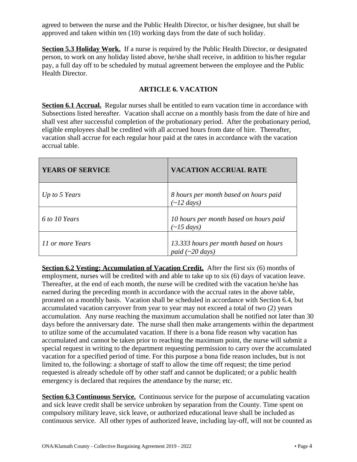agreed to between the nurse and the Public Health Director, or his/her designee, but shall be approved and taken within ten (10) working days from the date of such holiday.

**Section 5.3 Holiday Work.** If a nurse is required by the Public Health Director, or designated person, to work on any holiday listed above, he/she shall receive, in addition to his/her regular pay, a full day off to be scheduled by mutual agreement between the employee and the Public Health Director.

#### <span id="page-6-0"></span>**ARTICLE 6. VACATION**

**Section 6.1 Accrual.** Regular nurses shall be entitled to earn vacation time in accordance with Subsections listed hereafter. Vacation shall accrue on a monthly basis from the date of hire and shall vest after successful completion of the probationary period. After the probationary period, eligible employees shall be credited with all accrued hours from date of hire. Thereafter, vacation shall accrue for each regular hour paid at the rates in accordance with the vacation accrual table.

| <b>YEARS OF SERVICE</b> | <b>VACATION ACCRUAL RATE</b>                                                  |
|-------------------------|-------------------------------------------------------------------------------|
| Up to 5 Years           | 8 hours per month based on hours paid<br>$\sim$ 12 days)                      |
| 6 to 10 Years           | 10 hours per month based on hours paid<br>$\left(\sim\right]$ <i>(5 days)</i> |
| 11 or more Years        | 13.333 hours per month based on hours<br>paid $(\sim 20 \text{ days})$        |

**Section 6.2 Vesting: Accumulation of Vacation Credit.** After the first six (6) months of employment, nurses will be credited with and able to take up to six (6) days of vacation leave. Thereafter, at the end of each month, the nurse will be credited with the vacation he/she has earned during the preceding month in accordance with the accrual rates in the above table, prorated on a monthly basis. Vacation shall be scheduled in accordance with Section 6.4, but accumulated vacation carryover from year to year may not exceed a total of two (2) years accumulation. Any nurse reaching the maximum accumulation shall be notified not later than 30 days before the anniversary date. The nurse shall then make arrangements within the department to utilize some of the accumulated vacation. If there is a bona fide reason why vacation has accumulated and cannot be taken prior to reaching the maximum point, the nurse will submit a special request in writing to the department requesting permission to carry over the accumulated vacation for a specified period of time. For this purpose a bona fide reason includes, but is not limited to, the following: a shortage of staff to allow the time off request; the time period requested is already schedule off by other staff and cannot be duplicated; or a public health emergency is declared that requires the attendance by the nurse; etc.

**Section 6.3 Continuous Service.** Continuous service for the purpose of accumulating vacation and sick leave credit shall be service unbroken by separation from the County. Time spent on compulsory military leave, sick leave, or authorized educational leave shall be included as continuous service. All other types of authorized leave, including lay-off, will not be counted as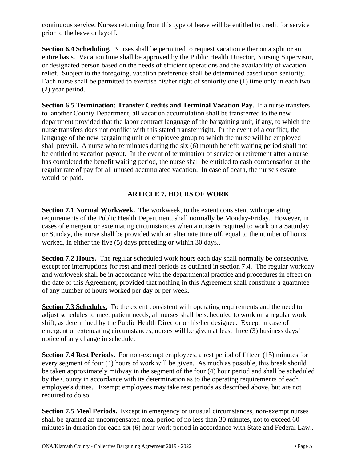continuous service. Nurses returning from this type of leave will be entitled to credit for service prior to the leave or layoff.

**Section 6.4 Scheduling.** Nurses shall be permitted to request vacation either on a split or an entire basis. Vacation time shall be approved by the Public Health Director, Nursing Supervisor, or designated person based on the needs of efficient operations and the availability of vacation relief. Subject to the foregoing, vacation preference shall be determined based upon seniority. Each nurse shall be permitted to exercise his/her right of seniority one (1) time only in each two (2) year period.

**Section 6.5 Termination: Transfer Credits and Terminal Vacation Pay.** If a nurse transfers to another County Department, all vacation accumulation shall be transferred to the new department provided that the labor contract language of the bargaining unit, if any, to which the nurse transfers does not conflict with this stated transfer right. In the event of a conflict, the language of the new bargaining unit or employee group to which the nurse will be employed shall prevail. A nurse who terminates during the six (6) month benefit waiting period shall not be entitled to vacation payout. In the event of termination of service or retirement after a nurse has completed the benefit waiting period, the nurse shall be entitled to cash compensation at the regular rate of pay for all unused accumulated vacation. In case of death, the nurse's estate would be paid.

## <span id="page-7-0"></span>**ARTICLE 7. HOURS OF WORK**

**Section 7.1 Normal Workweek.** The workweek, to the extent consistent with operating requirements of the Public Health Department, shall normally be Monday-Friday. However, in cases of emergent or extenuating circumstances when a nurse is required to work on a Saturday or Sunday, the nurse shall be provided with an alternate time off, equal to the number of hours worked, in either the five (5) days preceding or within 30 days..

**Section 7.2 Hours.** The regular scheduled work hours each day shall normally be consecutive, except for interruptions for rest and meal periods as outlined in section 7.4. The regular workday and workweek shall be in accordance with the departmental practice and procedures in effect on the date of this Agreement, provided that nothing in this Agreement shall constitute a guarantee of any number of hours worked per day or per week.

**Section 7.3 Schedules.** To the extent consistent with operating requirements and the need to adjust schedules to meet patient needs, all nurses shall be scheduled to work on a regular work shift, as determined by the Public Health Director or his/her designee. Except in case of emergent or extenuating circumstances, nurses will be given at least three (3) business days' notice of any change in schedule.

**Section 7.4 Rest Periods.** For non-exempt employees, a rest period of fifteen (15) minutes for every segment of four (4) hours of work will be given. As much as possible, this break should be taken approximately midway in the segment of the four (4) hour period and shall be scheduled by the County in accordance with its determination as to the operating requirements of each employee's duties. Exempt employees may take rest periods as described above, but are not required to do so.

**Section 7.5 Meal Periods.** Except in emergency or unusual circumstances, non-exempt nurses shall be granted an uncompensated meal period of no less than 30 minutes, not to exceed 60 minutes in duration for each six (6) hour work period in accordance with State and Federal Law..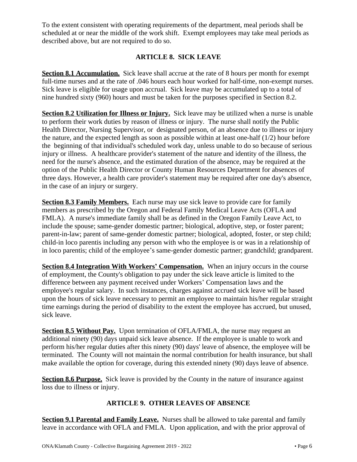To the extent consistent with operating requirements of the department, meal periods shall be scheduled at or near the middle of the work shift. Exempt employees may take meal periods as described above, but are not required to do so.

## <span id="page-8-0"></span>**ARTICLE 8. SICK LEAVE**

**Section 8.1 Accumulation.** Sick leave shall accrue at the rate of 8 hours per month for exempt full-time nurses and at the rate of .046 hours each hour worked for half-time, non-exempt nurses. Sick leave is eligible for usage upon accrual. Sick leave may be accumulated up to a total of nine hundred sixty (960) hours and must be taken for the purposes specified in Section 8.2.

**Section 8.2 Utilization for Illness or Injury.** Sick leave may be utilized when a nurse is unable to perform their work duties by reason of illness or injury. The nurse shall notify the Public Health Director, Nursing Supervisor, or designated person, of an absence due to illness or injury the nature, and the expected length as soon as possible within at least one-half (1/2) hour before the beginning of that individual's scheduled work day, unless unable to do so because of serious injury or illness. A healthcare provider's statement of the nature and identity of the illness, the need for the nurse's absence, and the estimated duration of the absence, may be required at the option of the Public Health Director or County Human Resources Department for absences of three days. However, a health care provider's statement may be required after one day's absence, in the case of an injury or surgery.

**Section 8.3 Family Members.** Each nurse may use sick leave to provide care for family members as prescribed by the Oregon and Federal Family Medical Leave Acts (OFLA and FMLA). A nurse's immediate family shall be as defined in the Oregon Family Leave Act, to include the spouse; same-gender domestic partner; biological, adoptive, step, or foster parent; parent-in-law; parent of same-gender domestic partner; biological, adopted, foster, or step child; child-in loco parentis including any person with who the employee is or was in a relationship of in loco parentis; child of the employee's same-gender domestic partner; grandchild; grandparent.

**Section 8.4 Integration With Workers' Compensation.** When an injury occurs in the course of employment, the County's obligation to pay under the sick leave article is limited to the difference between any payment received under Workers' Compensation laws and the employee's regular salary. In such instances, charges against accrued sick leave will be based upon the hours of sick leave necessary to permit an employee to maintain his/her regular straight time earnings during the period of disability to the extent the employee has accrued, but unused, sick leave.

**Section 8.5 Without Pay.** Upon termination of OFLA/FMLA, the nurse may request an additional ninety (90) days unpaid sick leave absence. If the employee is unable to work and perform his/her regular duties after this ninety (90) days' leave of absence, the employee will be terminated. The County will not maintain the normal contribution for health insurance, but shall make available the option for coverage, during this extended ninety (90) days leave of absence.

**Section 8.6 Purpose.** Sick leave is provided by the County in the nature of insurance against loss due to illness or injury.

## <span id="page-8-1"></span>**ARTICLE 9. OTHER LEAVES OF ABSENCE**

**Section 9.1 Parental and Family Leave.** Nurses shall be allowed to take parental and family leave in accordance with OFLA and FMLA. Upon application, and with the prior approval of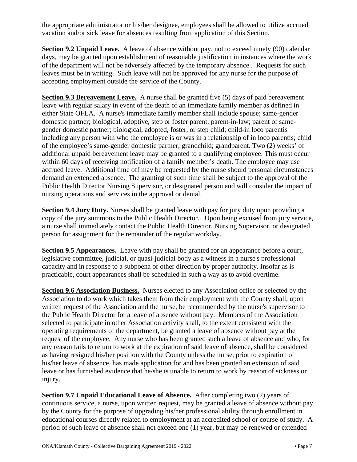the appropriate administrator or his/her designee, employees shall be allowed to utilize accrued vacation and/or sick leave for absences resulting from application of this Section.

**Section 9.2 Unpaid Leave.** A leave of absence without pay, not to exceed ninety (90) calendar days, may be granted upon establishment of reasonable justification in instances where the work of the department will not be adversely affected by the temporary absence.. Requests for such leaves must be in writing. Such leave will not be approved for any nurse for the purpose of accepting employment outside the service of the County.

**Section 9.3 Bereavement Leave.** A nurse shall be granted five (5) days of paid bereavement leave with regular salary in event of the death of an immediate family member as defined in either State OFLA. A nurse's immediate family member shall include spouse; same-gender domestic partner; biological, adoptive, step or foster parent; parent-in-law; parent of samegender domestic partner; biological, adopted, foster, or step child; child-in loco parentis including any person with who the employee is or was in a relationship of in loco parentis; child of the employee's same-gender domestic partner; grandchild; grandparent. Two (2) weeks' of additional unpaid bereavement leave may be granted to a qualifying employee. This must occur within 60 days of receiving notification of a family member's death. The employee may use accrued leave. Additional time off may be requested by the nurse should personal circumstances demand an extended absence. The granting of such time shall be subject to the approval of the Public Health Director Nursing Supervisor, or designated person and will consider the impact of nursing operations and services in the approval or denial.

**Section 9.4 Jury Duty.** Nurses shall be granted leave with pay for jury duty upon providing a copy of the jury summons to the Public Health Director.. Upon being excused from jury service, a nurse shall immediately contact the Public Health Director, Nursing Supervisor, or designated person for assignment for the remainder of the regular workday.

**Section 9.5 Appearances.** Leave with pay shall be granted for an appearance before a court, legislative committee, judicial, or quasi-judicial body as a witness in a nurse's professional capacity and in response to a subpoena or other direction by proper authority. Insofar as is practicable, court appearances shall be scheduled in such a way as to avoid overtime.

**Section 9.6 Association Business.** Nurses elected to any Association office or selected by the Association to do work which takes them from their employment with the County shall, upon written request of the Association and the nurse, be recommended by the nurse's supervisor to the Public Health Director for a leave of absence without pay. Members of the Association selected to participate in other Association activity shall, to the extent consistent with the operating requirements of the department, be granted a leave of absence without pay at the request of the employee. Any nurse who has been granted such a leave of absence and who, for any reason fails to return to work at the expiration of said leave of absence, shall be considered as having resigned his/her position with the County unless the nurse, prior to expiration of his/her leave of absence, has made application for and has been granted an extension of said leave or has furnished evidence that he/she is unable to return to work by reason of sickness or injury.

**Section 9.7 Unpaid Educational Leave of Absence.** After completing two (2) years of continuous service, a nurse, upon written request, may be granted a leave of absence without pay by the County for the purpose of upgrading his/her professional ability through enrollment in educational courses directly related to employment at an accredited school or course of study. A period of such leave of absence shall not exceed one (1) year, but may be renewed or extended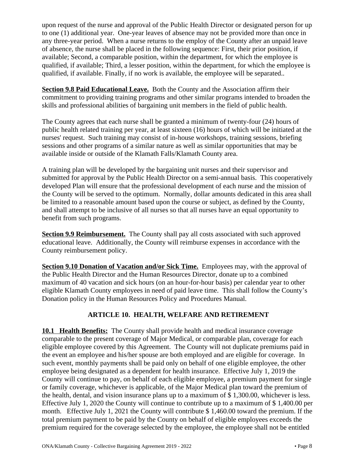upon request of the nurse and approval of the Public Health Director or designated person for up to one (1) additional year. One-year leaves of absence may not be provided more than once in any three-year period. When a nurse returns to the employ of the County after an unpaid leave of absence, the nurse shall be placed in the following sequence: First, their prior position, if available; Second, a comparable position, within the department, for which the employee is qualified, if available; Third, a lesser position, within the department, for which the employee is qualified, if available. Finally, if no work is available, the employee will be separated..

**Section 9.8 Paid Educational Leave.** Both the County and the Association affirm their commitment to providing training programs and other similar programs intended to broaden the skills and professional abilities of bargaining unit members in the field of public health.

The County agrees that each nurse shall be granted a minimum of twenty-four (24) hours of public health related training per year, at least sixteen (16) hours of which will be initiated at the nurses' request. Such training may consist of in-house workshops, training sessions, briefing sessions and other programs of a similar nature as well as similar opportunities that may be available inside or outside of the Klamath Falls/Klamath County area.

A training plan will be developed by the bargaining unit nurses and their supervisor and submitted for approval by the Public Health Director on a semi-annual basis. This cooperatively developed Plan will ensure that the professional development of each nurse and the mission of the County will be served to the optimum. Normally, dollar amounts dedicated in this area shall be limited to a reasonable amount based upon the course or subject, as defined by the County, and shall attempt to be inclusive of all nurses so that all nurses have an equal opportunity to benefit from such programs.

**Section 9.9 Reimbursement.** The County shall pay all costs associated with such approved educational leave. Additionally, the County will reimburse expenses in accordance with the County reimbursement policy.

**Section 9.10 Donation of Vacation and/or Sick Time.** Employees may, with the approval of the Public Health Director and the Human Resources Director, donate up to a combined maximum of 40 vacation and sick hours (on an hour-for-hour basis) per calendar year to other eligible Klamath County employees in need of paid leave time. This shall follow the County's Donation policy in the Human Resources Policy and Procedures Manual.

## <span id="page-10-0"></span>**ARTICLE 10. HEALTH, WELFARE AND RETIREMENT**

**10.1 Health Benefits:** The County shall provide health and medical insurance coverage comparable to the present coverage of Major Medical, or comparable plan, coverage for each eligible employee covered by this Agreement. The County will not duplicate premiums paid in the event an employee and his/her spouse are both employed and are eligible for coverage. In such event, monthly payments shall be paid only on behalf of one eligible employee, the other employee being designated as a dependent for health insurance. Effective July 1, 2019 the County will continue to pay, on behalf of each eligible employee, a premium payment for single or family coverage, whichever is applicable, of the Major Medical plan toward the premium of the health, dental, and vision insurance plans up to a maximum of \$ 1,300.00, whichever is less. Effective July 1, 2020 the County will continue to contribute up to a maximum of \$ 1,400.00 per month. Effective July 1, 2021 the County will contribute \$ 1,460.00 toward the premium. If the total premium payment to be paid by the County on behalf of eligible employees exceeds the premium required for the coverage selected by the employee, the employee shall not be entitled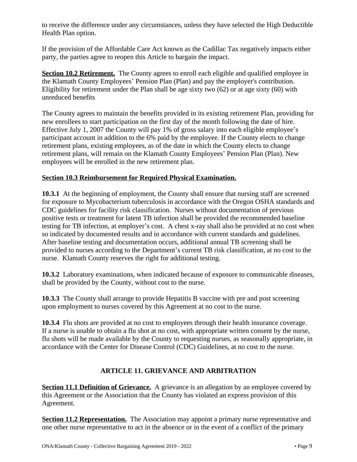to receive the difference under any circumstances, unless they have selected the High Deductible Health Plan option.

If the provision of the Affordable Care Act known as the Cadillac Tax negatively impacts either party, the parties agree to reopen this Article to bargain the impact.

**Section 10.2 Retirement.** The County agrees to enroll each eligible and qualified employee in the Klamath County Employees' Pension Plan (Plan) and pay the employer's contribution. Eligibility for retirement under the Plan shall be age sixty two (62) or at age sixty (60) with unreduced benefits

The County agrees to maintain the benefits provided in its existing retirement Plan, providing for new enrollees to start participation on the first day of the month following the date of hire. Effective July 1, 2007 the County will pay 1% of gross salary into each eligible employee's participant account in addition to the 6% paid by the employee. If the County elects to change retirement plans, existing employees, as of the date in which the County elects to change retirement plans, will remain on the Klamath County Employees' Pension Plan (Plan). New employees will be enrolled in the new retirement plan.

## **Section 10.3 Reimbursement for Required Physical Examination.**

**10.3.1** At the beginning of employment, the County shall ensure that nursing staff are screened for exposure to Mycobacterium tuberculosis in accordance with the Oregon OSHA standards and CDC guidelines for facility risk classification. Nurses without documentation of previous positive tests or treatment for latent TB infection shall be provided the recommended baseline testing for TB infection, at employer's cost. A chest x-ray shall also be provided at no cost when so indicated by documented results and in accordance with current standards and guidelines. After baseline testing and documentation occurs, additional annual TB screening shall be provided to nurses according to the Department's current TB risk classification, at no cost to the nurse. Klamath County reserves the right for additional testing.

**10.3.2** Laboratory examinations, when indicated because of exposure to communicable diseases, shall be provided by the County, without cost to the nurse.

**10.3.3** The County shall arrange to provide Hepatitis B vaccine with pre and post screening upon employment to nurses covered by this Agreement at no cost to the nurse.

**10.3.4** Flu shots are provided at no cost to employees through their health insurance coverage. If a nurse is unable to obtain a flu shot at no cost, with appropriate written consent by the nurse, flu shots will be made available by the County to requesting nurses, as seasonally appropriate, in accordance with the Center for Disease Control (CDC) Guidelines, at no cost to the nurse.

## <span id="page-11-0"></span>**ARTICLE 11. GRIEVANCE AND ARBITRATION**

**Section 11.1 Definition of Grievance.** A grievance is an allegation by an employee covered by this Agreement or the Association that the County has violated an express provision of this Agreement.

**Section 11.2 Representation.** The Association may appoint a primary nurse representative and one other nurse representative to act in the absence or in the event of a conflict of the primary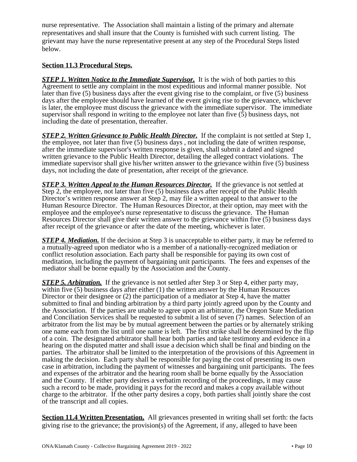nurse representative. The Association shall maintain a listing of the primary and alternate representatives and shall insure that the County is furnished with such current listing. The grievant may have the nurse representative present at any step of the Procedural Steps listed below.

#### **Section 11.3 Procedural Steps.**

**STEP 1. Written Notice to the Immediate Supervisor.** It is the wish of both parties to this Agreement to settle any complaint in the most expeditious and informal manner possible. Not later than five (5) business days after the event giving rise to the complaint, or five (5) business days after the employee should have learned of the event giving rise to the grievance, whichever is later, the employee must discuss the grievance with the immediate supervisor. The immediate supervisor shall respond in writing to the employee not later than five (5) business days, not including the date of presentation, thereafter.

*STEP 2. Written Grievance to Public Health Director.* If the complaint is not settled at Step 1, the employee, not later than five (5) business days , not including the date of written response, after the immediate supervisor's written response is given, shall submit a dated and signed written grievance to the Public Health Director, detailing the alleged contract violations. The immediate supervisor shall give his/her written answer to the grievance within five (5) business days, not including the date of presentation, after receipt of the grievance.

**STEP 3. Written Appeal to the Human Resources Director.** If the grievance is not settled at Step 2, the employee, not later than five (5) business days after receipt of the Public Health Director's written response answer at Step 2, may file a written appeal to that answer to the Human Resource Director. The Human Resources Director, at their option, may meet with the employee and the employee's nurse representative to discuss the grievance. The Human Resources Director shall give their written answer to the grievance within five (5) business days after receipt of the grievance or after the date of the meeting, whichever is later.

*STEP 4. Mediation.* If the decision at Step 3 is unacceptable to either party, it may be referred to a mutually-agreed upon mediator who is a member of a nationally-recognized mediation or conflict resolution association. Each party shall be responsible for paying its own cost of meditation, including the payment of bargaining unit participants. The fees and expenses of the mediator shall be borne equally by the Association and the County.

*STEP 5. Arbitration.* If the grievance is not settled after Step 3 or Step 4, either party may, within five (5) business days after either (1) the written answer by the Human Resources Director or their designee or (2) the participation of a mediator at Step 4, have the matter submitted to final and binding arbitration by a third party jointly agreed upon by the County and the Association. If the parties are unable to agree upon an arbitrator, the Oregon State Mediation and Conciliation Services shall be requested to submit a list of seven (7) names. Selection of an arbitrator from the list may be by mutual agreement between the parties or by alternately striking one name each from the list until one name is left. The first strike shall be determined by the flip of a coin. The designated arbitrator shall hear both parties and take testimony and evidence in a hearing on the disputed matter and shall issue a decision which shall be final and binding on the parties. The arbitrator shall be limited to the interpretation of the provisions of this Agreement in making the decision. Each party shall be responsible for paying the cost of presenting its own case in arbitration, including the payment of witnesses and bargaining unit participants. The fees and expenses of the arbitrator and the hearing room shall be borne equally by the Association and the County. If either party desires a verbatim recording of the proceedings, it may cause such a record to be made, providing it pays for the record and makes a copy available without charge to the arbitrator. If the other party desires a copy, both parties shall jointly share the cost of the transcript and all copies.

**Section 11.4 Written Presentation.** All grievances presented in writing shall set forth: the facts giving rise to the grievance; the provision(s) of the Agreement, if any, alleged to have been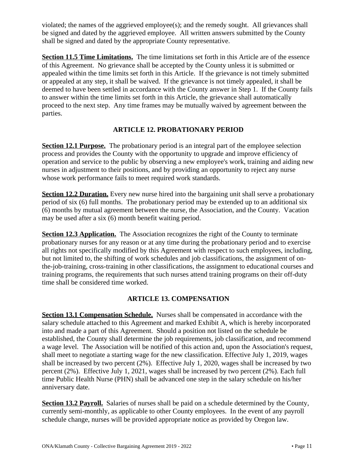violated; the names of the aggrieved employee(s); and the remedy sought. All grievances shall be signed and dated by the aggrieved employee. All written answers submitted by the County shall be signed and dated by the appropriate County representative.

**Section 11.5 Time Limitations.** The time limitations set forth in this Article are of the essence of this Agreement. No grievance shall be accepted by the County unless it is submitted or appealed within the time limits set forth in this Article. If the grievance is not timely submitted or appealed at any step, it shall be waived. If the grievance is not timely appealed, it shall be deemed to have been settled in accordance with the County answer in Step 1. If the County fails to answer within the time limits set forth in this Article, the grievance shall automatically proceed to the next step. Any time frames may be mutually waived by agreement between the parties.

## <span id="page-13-0"></span>**ARTICLE 12. PROBATIONARY PERIOD**

**Section 12.1 Purpose.** The probationary period is an integral part of the employee selection process and provides the County with the opportunity to upgrade and improve efficiency of operation and service to the public by observing a new employee's work, training and aiding new nurses in adjustment to their positions, and by providing an opportunity to reject any nurse whose work performance fails to meet required work standards.

**Section 12.2 Duration.** Every new nurse hired into the bargaining unit shall serve a probationary period of six (6) full months. The probationary period may be extended up to an additional six (6) months by mutual agreement between the nurse, the Association, and the County. Vacation may be used after a six (6) month benefit waiting period.

**Section 12.3 Application.** The Association recognizes the right of the County to terminate probationary nurses for any reason or at any time during the probationary period and to exercise all rights not specifically modified by this Agreement with respect to such employees, including, but not limited to, the shifting of work schedules and job classifications, the assignment of onthe-job-training, cross-training in other classifications, the assignment to educational courses and training programs, the requirements that such nurses attend training programs on their off-duty time shall be considered time worked.

## <span id="page-13-1"></span>**ARTICLE 13. COMPENSATION**

**Section 13.1 Compensation Schedule.** Nurses shall be compensated in accordance with the salary schedule attached to this Agreement and marked Exhibit A, which is hereby incorporated into and made a part of this Agreement. Should a position not listed on the schedule be established, the County shall determine the job requirements, job classification, and recommend a wage level. The Association will be notified of this action and, upon the Association's request, shall meet to negotiate a starting wage for the new classification. Effective July 1, 2019, wages shall be increased by two percent (2%). Effective July 1, 2020, wages shall be increased by two percent (2%). Effective July 1, 2021, wages shall be increased by two percent (2%). Each full time Public Health Nurse (PHN) shall be advanced one step in the salary schedule on his/her anniversary date.

**Section 13.2 Payroll.** Salaries of nurses shall be paid on a schedule determined by the County, currently semi-monthly, as applicable to other County employees. In the event of any payroll schedule change, nurses will be provided appropriate notice as provided by Oregon law.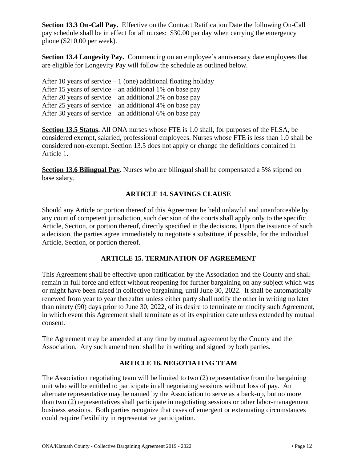**Section 13.3 On-Call Pay.** Effective on the Contract Ratification Date the following On-Call pay schedule shall be in effect for all nurses: \$30.00 per day when carrying the emergency phone (\$210.00 per week).

**Section 13.4 Longevity Pay.** Commencing on an employee's anniversary date employees that are eligible for Longevity Pay will follow the schedule as outlined below.

After 10 years of service  $-1$  (one) additional floating holiday After 15 years of service – an additional 1% on base pay After 20 years of service – an additional 2% on base pay After 25 years of service – an additional 4% on base pay After 30 years of service – an additional 6% on base pay

**Section 13.5 Status.** All ONA nurses whose FTE is 1.0 shall, for purposes of the FLSA, be considered exempt, salaried, professional employees. Nurses whose FTE is less than 1.0 shall be considered non-exempt. Section 13.5 does not apply or change the definitions contained in Article 1.

**Section 13.6 Bilingual Pay.** Nurses who are bilingual shall be compensated a 5% stipend on base salary.

## <span id="page-14-0"></span>**ARTICLE 14. SAVINGS CLAUSE**

Should any Article or portion thereof of this Agreement be held unlawful and unenforceable by any court of competent jurisdiction, such decision of the courts shall apply only to the specific Article, Section, or portion thereof, directly specified in the decisions. Upon the issuance of such a decision, the parties agree immediately to negotiate a substitute, if possible, for the individual Article, Section, or portion thereof.

## <span id="page-14-1"></span>**ARTICLE 15. TERMINATION OF AGREEMENT**

This Agreement shall be effective upon ratification by the Association and the County and shall remain in full force and effect without reopening for further bargaining on any subject which was or might have been raised in collective bargaining, until June 30, 2022. It shall be automatically renewed from year to year thereafter unless either party shall notify the other in writing no later than ninety (90) days prior to June 30, 2022, of its desire to terminate or modify such Agreement, in which event this Agreement shall terminate as of its expiration date unless extended by mutual consent.

The Agreement may be amended at any time by mutual agreement by the County and the Association. Any such amendment shall be in writing and signed by both parties.

## <span id="page-14-2"></span>**ARTICLE 16. NEGOTIATING TEAM**

The Association negotiating team will be limited to two (2) representative from the bargaining unit who will be entitled to participate in all negotiating sessions without loss of pay. An alternate representative may be named by the Association to serve as a back-up, but no more than two (2) representatives shall participate in negotiating sessions or other labor-management business sessions. Both parties recognize that cases of emergent or extenuating circumstances could require flexibility in representative participation.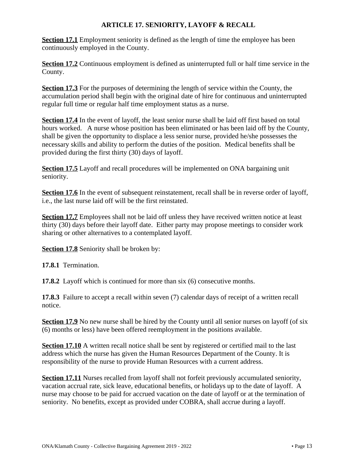## <span id="page-15-0"></span>**ARTICLE 17. SENIORITY, LAYOFF & RECALL**

**Section 17.1** Employment seniority is defined as the length of time the employee has been continuously employed in the County.

**Section 17.2** Continuous employment is defined as uninterrupted full or half time service in the County.

**Section 17.3** For the purposes of determining the length of service within the County, the accumulation period shall begin with the original date of hire for continuous and uninterrupted regular full time or regular half time employment status as a nurse.

Section 17.4 In the event of layoff, the least senior nurse shall be laid off first based on total hours worked. A nurse whose position has been eliminated or has been laid off by the County, shall be given the opportunity to displace a less senior nurse, provided he/she possesses the necessary skills and ability to perform the duties of the position. Medical benefits shall be provided during the first thirty (30) days of layoff.

**Section 17.5** Layoff and recall procedures will be implemented on ONA bargaining unit seniority.

**Section 17.6** In the event of subsequent reinstatement, recall shall be in reverse order of layoff, i.e., the last nurse laid off will be the first reinstated.

**Section 17.7** Employees shall not be laid off unless they have received written notice at least thirty (30) days before their layoff date. Either party may propose meetings to consider work sharing or other alternatives to a contemplated layoff.

**Section 17.8** Seniority shall be broken by:

**17.8.1** Termination.

**17.8.2** Layoff which is continued for more than six (6) consecutive months.

**17.8.3** Failure to accept a recall within seven (7) calendar days of receipt of a written recall notice.

**Section 17.9** No new nurse shall be hired by the County until all senior nurses on layoff (of six (6) months or less) have been offered reemployment in the positions available.

**Section 17.10** A written recall notice shall be sent by registered or certified mail to the last address which the nurse has given the Human Resources Department of the County. It is responsibility of the nurse to provide Human Resources with a current address.

**Section 17.11** Nurses recalled from layoff shall not forfeit previously accumulated seniority, vacation accrual rate, sick leave, educational benefits, or holidays up to the date of layoff. A nurse may choose to be paid for accrued vacation on the date of layoff or at the termination of seniority. No benefits, except as provided under COBRA, shall accrue during a layoff.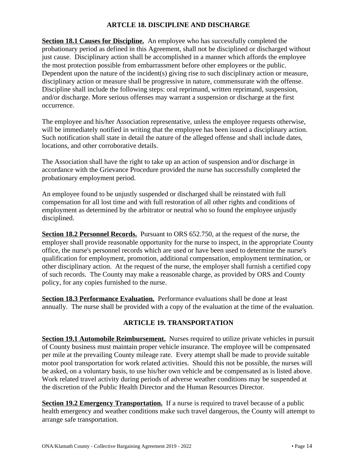## <span id="page-16-0"></span>**ARTCLE 18. DISCIPLINE AND DISCHARGE**

**Section 18.1 Causes for Discipline.** An employee who has successfully completed the probationary period as defined in this Agreement, shall not be disciplined or discharged without just cause. Disciplinary action shall be accomplished in a manner which affords the employee the most protection possible from embarrassment before other employees or the public. Dependent upon the nature of the incident(s) giving rise to such disciplinary action or measure, disciplinary action or measure shall be progressive in nature, commensurate with the offense. Discipline shall include the following steps: oral reprimand, written reprimand, suspension, and/or discharge. More serious offenses may warrant a suspension or discharge at the first occurrence.

The employee and his/her Association representative, unless the employee requests otherwise, will be immediately notified in writing that the employee has been issued a disciplinary action. Such notification shall state in detail the nature of the alleged offense and shall include dates, locations, and other corroborative details.

The Association shall have the right to take up an action of suspension and/or discharge in accordance with the Grievance Procedure provided the nurse has successfully completed the probationary employment period.

An employee found to be unjustly suspended or discharged shall be reinstated with full compensation for all lost time and with full restoration of all other rights and conditions of employment as determined by the arbitrator or neutral who so found the employee unjustly disciplined.

**Section 18.2 Personnel Records.** Pursuant to ORS 652.750, at the request of the nurse, the employer shall provide reasonable opportunity for the nurse to inspect, in the appropriate County office, the nurse's personnel records which are used or have been used to determine the nurse's qualification for employment, promotion, additional compensation, employment termination, or other disciplinary action. At the request of the nurse, the employer shall furnish a certified copy of such records. The County may make a reasonable charge, as provided by ORS and County policy, for any copies furnished to the nurse.

**Section 18.3 Performance Evaluation.** Performance evaluations shall be done at least annually. The nurse shall be provided with a copy of the evaluation at the time of the evaluation.

## <span id="page-16-1"></span>**ARTICLE 19. TRANSPORTATION**

**Section 19.1 Automobile Reimbursement.** Nurses required to utilize private vehicles in pursuit of County business must maintain proper vehicle insurance. The employee will be compensated per mile at the prevailing County mileage rate. Every attempt shall be made to provide suitable motor pool transportation for work related activities. Should this not be possible, the nurses will be asked, on a voluntary basis, to use his/her own vehicle and be compensated as is listed above. Work related travel activity during periods of adverse weather conditions may be suspended at the discretion of the Public Health Director and the Human Resources Director.

**Section 19.2 Emergency Transportation.** If a nurse is required to travel because of a public health emergency and weather conditions make such travel dangerous, the County will attempt to arrange safe transportation.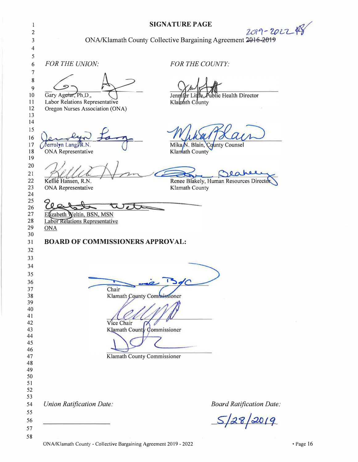| $\mathbf{1}$<br>2<br>3<br>4                    |                                                                                          | <b>SIGNATURE PAGE</b><br>2019-2022\$<br>ONA/Klamath County Collective Bargaining Agreement 2016-2019 |
|------------------------------------------------|------------------------------------------------------------------------------------------|------------------------------------------------------------------------------------------------------|
| 5<br>6<br>7<br>8                               | FOR THE UNION:                                                                           | <b>FOR THE COUNTY:</b>                                                                               |
| $\boldsymbol{9}$<br>10<br>11<br>12<br>13<br>14 | Gary Agorar, Ph.D.,<br>Labor Relations Representative<br>Oregon Nurses Association (ONA) | blic Health Director<br>Jennifer I<br>Klawath County                                                 |
| 15<br>16<br>17<br>18<br>19                     | Jerrolyn Lang R.N.<br><b>ONA</b> Representative                                          | Mika <sub>/N</sub> . Blain, County Counsel<br>Klamath County                                         |
| 20<br>21<br>22<br>23<br>24                     | Kellié Hansen, R.N.<br>ONA Representative                                                | Jeanee<br>Renee Blakely, Human Resources Directo<br>Klamath County                                   |
| 25<br>26<br>27<br>28<br>29                     | Elizabeth Weltin, BSN, MSN<br><b>Labor Relations Representative</b><br><b>ONA</b>        |                                                                                                      |
| 30<br>31<br>32<br>33                           | <b>BOARD OF COMMISSIONERS APPROVAL:</b>                                                  |                                                                                                      |
| 34<br>35<br>36<br>37<br>38                     | Chair                                                                                    | Klamath County Commissioner                                                                          |
| 39<br>40<br>41<br>42<br>43<br>44<br>45         | Vice Chair                                                                               | Klamath County Commissioner                                                                          |
| 46<br>47<br>48<br>49<br>50                     |                                                                                          | Klamath County Commissioner                                                                          |
| 52<br>53<br>54<br>55<br>56                     | <b>Union Ratification Date:</b>                                                          | Board Ratification Date:<br>$S/28/20/9$                                                              |
| 57<br>58                                       |                                                                                          |                                                                                                      |

ONA/Klamath County - Collective Bargaining Agreement 2019 - 2022